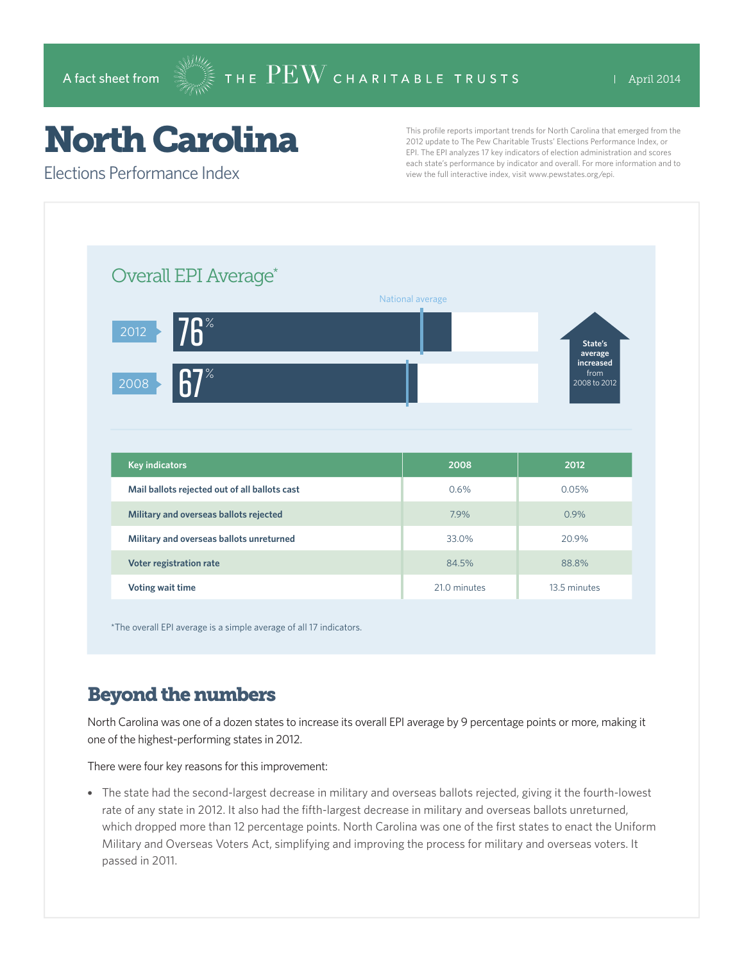# North Carolina

Elections Performance Index

This profile reports important trends for North Carolina that emerged from the 2012 update to The Pew Charitable Trusts' Elections Performance Index, or EPI. The EPI analyzes 17 key indicators of election administration and scores each state's performance by indicator and overall. For more information and to view the full interactive index, visit www.pewstates.org/epi.

| Overall EPI Average*                          | National average |                                                         |
|-----------------------------------------------|------------------|---------------------------------------------------------|
| <b>76</b> %<br>2012<br>$\%$<br>2008           |                  | State's<br>average<br>increased<br>from<br>2008 to 2012 |
|                                               |                  |                                                         |
| <b>Key indicators</b>                         | 2008             | 2012                                                    |
| Mail ballots rejected out of all ballots cast | 0.6%             | 0.05%                                                   |
| Military and overseas ballots rejected        | 7.9%             | 0.9%                                                    |
| Military and overseas ballots unreturned      | 33.0%            | 20.9%                                                   |
| Voter registration rate                       | 84.5%            | 88.8%                                                   |

\*The overall EPI average is a simple average of all 17 indicators.

## Beyond the numbers

North Carolina was one of a dozen states to increase its overall EPI average by 9 percentage points or more, making it one of the highest-performing states in 2012.

There were four key reasons for this improvement:

• The state had the second-largest decrease in military and overseas ballots rejected, giving it the fourth-lowest rate of any state in 2012. It also had the fifth-largest decrease in military and overseas ballots unreturned, which dropped more than 12 percentage points. North Carolina was one of the first states to enact the Uniform Military and Overseas Voters Act, simplifying and improving the process for military and overseas voters. It passed in 2011.